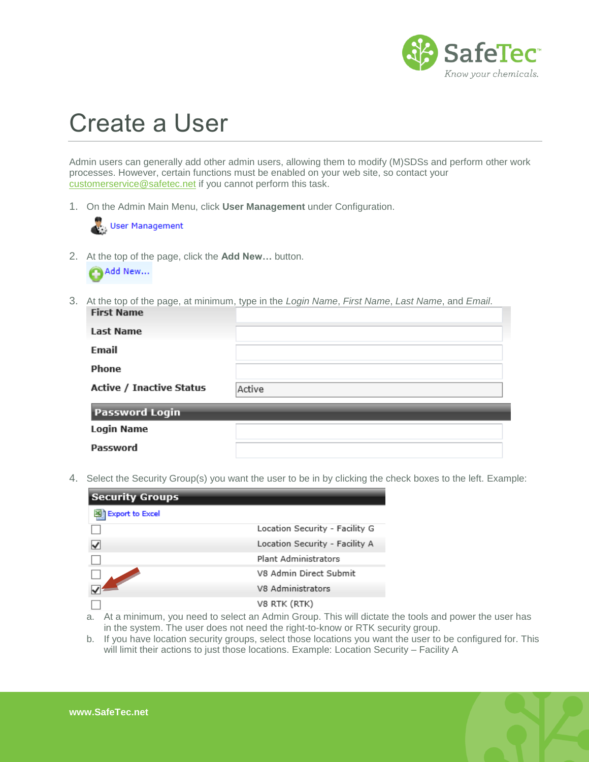

## Create a User

Admin users can generally add other admin users, allowing them to modify (M)SDSs and perform other work processes. However, certain functions must be enabled on your web site, so contact your [customerservice@safetec.net](mailto:customerservice@safetec.net) if you cannot perform this task.

1. On the Admin Main Menu, click **User Management** under Configuration.



2. At the top of the page, click the **Add New…** button.



3. At the top of the page, at minimum, type in the *Login Name*, *First Name*, *Last Name*, and *Email*.

| <b>Last Name</b>                |        |  |  |  |
|---------------------------------|--------|--|--|--|
| Email                           |        |  |  |  |
| Phone                           |        |  |  |  |
| <b>Active / Inactive Status</b> | Active |  |  |  |
| <b>Password Login</b>           |        |  |  |  |
| <b>Login Name</b>               |        |  |  |  |
| Password                        |        |  |  |  |
|                                 |        |  |  |  |

4. Select the Security Group(s) you want the user to be in by clicking the check boxes to the left. Example:

| <b>Security Groups</b> |                                |
|------------------------|--------------------------------|
| 점 Export to Excel      |                                |
|                        | Location Security - Facility G |
|                        | Location Security - Facility A |
|                        | <b>Plant Administrators</b>    |
|                        | V8 Admin Direct Submit         |
|                        | V8 Administrators              |
|                        | V8 RTK (RTK)                   |

- a. At a minimum, you need to select an Admin Group. This will dictate the tools and power the user has in the system. The user does not need the right-to-know or RTK security group.
- b. If you have location security groups, select those locations you want the user to be configured for. This will limit their actions to just those locations. Example: Location Security – Facility A